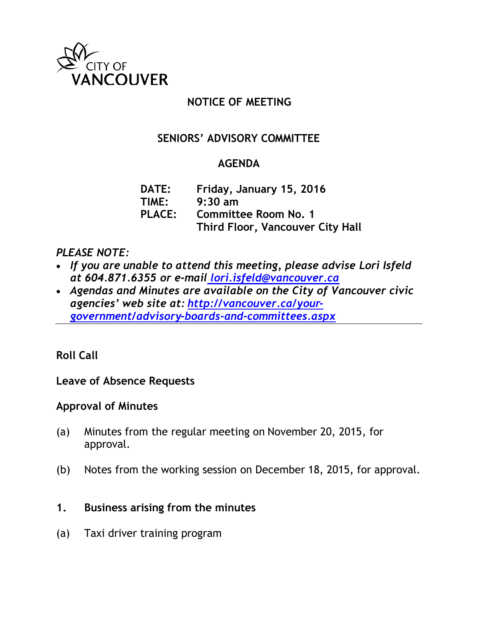

## **NOTICE OF MEETING**

# **SENIORS' ADVISORY COMMITTEE**

## **AGENDA**

**DATE: Friday, January 15, 2016 TIME: 9:30 am PLACE: Committee Room No. 1 Third Floor, Vancouver City Hall**

### *PLEASE NOTE:*

- *If you are unable to attend this meeting, please advise Lori Isfeld at 604.871.6355 or e-mail [lori.isfeld@vancouver.ca](mailto:%20lori.isfeld@vancouver.ca)*
- *Agendas and Minutes are available on the City of Vancouver civic agencies' web site at: [http://vancouver.ca/your](http://vancouver.ca/your-government/advisory-boards-and-committees.aspx)[government/advisory-boards-and-committees.aspx](http://vancouver.ca/your-government/advisory-boards-and-committees.aspx)*

## **Roll Call**

**Leave of Absence Requests**

## **Approval of Minutes**

- (a) Minutes from the regular meeting on November 20, 2015, for approval.
- (b) Notes from the working session on December 18, 2015, for approval.
- **1. Business arising from the minutes**
- (a) Taxi driver training program